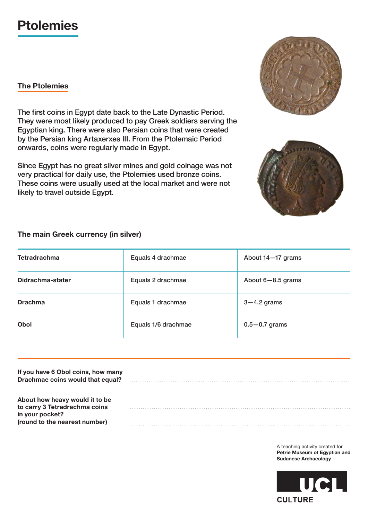## **Ptolemies**

## **The Ptolemies**

The first coins in Egypt date back to the Late Dynastic Period. They were most likely produced to pay Greek soldiers serving the Egyptian king. There were also Persian coins that were created by the Persian king Artaxerxes III. From the Ptolemaic Period onwards, coins were regularly made in Egypt.

Since Egypt has no great silver mines and gold coinage was not very practical for daily use, the Ptolemies used bronze coins. These coins were usually used at the local market and were not likely to travel outside Egypt.

**The main Greek currency (in silver)**



| If you have 6 Obol coins, how many<br>Drachmae coins would that equal?             |  |
|------------------------------------------------------------------------------------|--|
| About how heavy would it to be<br>to carry 3 Tetradrachma coins<br>in your pocket? |  |
| (round to the nearest number)                                                      |  |

A teaching activity created for **Petrie Museum of Egyptian and Sudanese Archaeology**